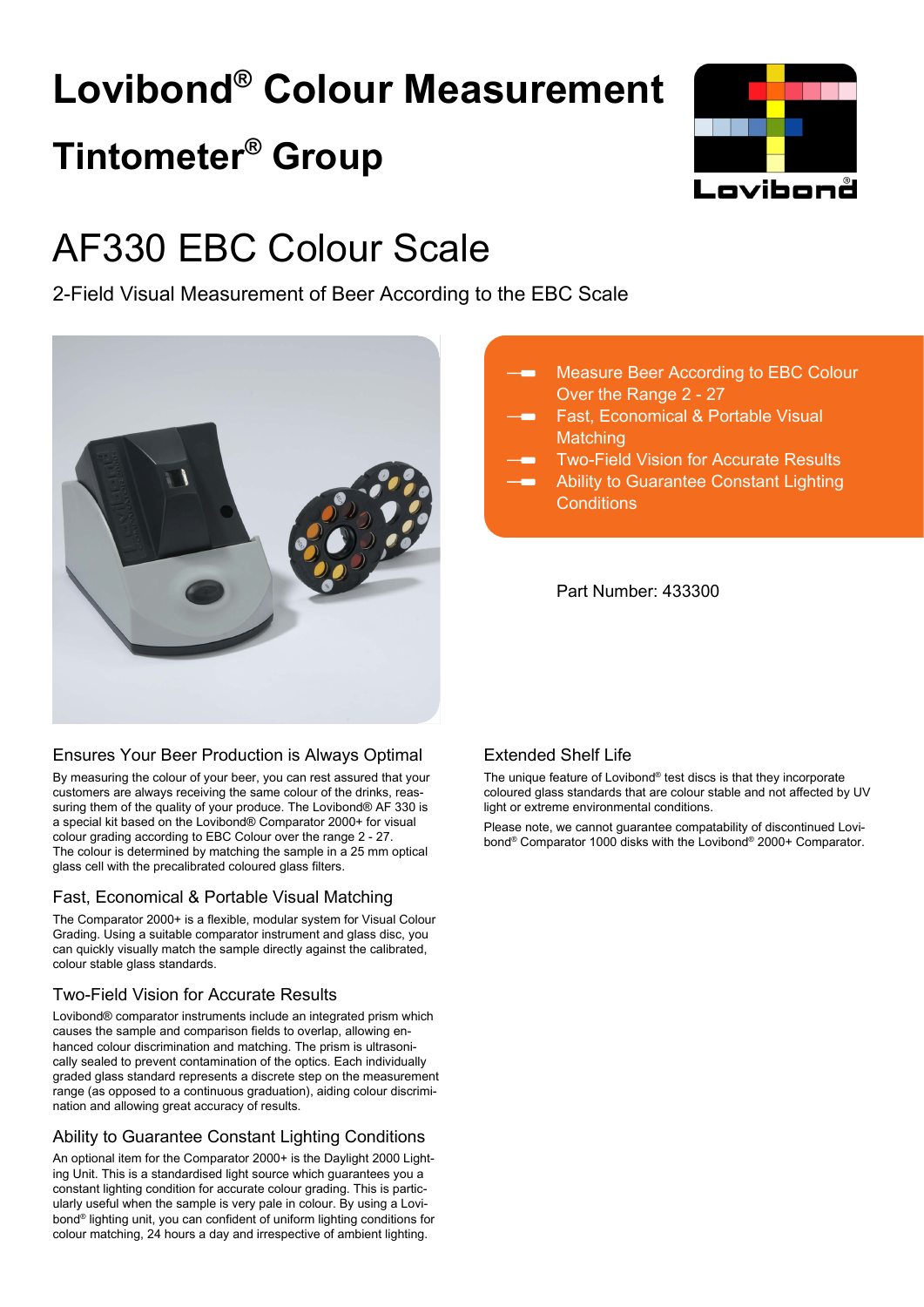# **Lovibond® Colour Measurement Tintometer® Group**



## AF330 EBC Colour Scale

2-Field Visual Measurement of Beer According to the EBC Scale



## Ensures Your Beer Production is Always Optimal

By measuring the colour of your beer, you can rest assured that your customers are always receiving the same colour of the drinks, reassuring them of the quality of your produce. The Lovibond® AF 330 is a special kit based on the Lovibond® Comparator 2000+ for visual colour grading according to EBC Colour over the range 2 - 27. The colour is determined by matching the sample in a 25 mm optical glass cell with the precalibrated coloured glass filters.

## Fast, Economical & Portable Visual Matching

The Comparator 2000+ is a flexible, modular system for Visual Colour Grading. Using a suitable comparator instrument and glass disc, you can quickly visually match the sample directly against the calibrated, colour stable glass standards.

## Two-Field Vision for Accurate Results

Lovibond® comparator instruments include an integrated prism which causes the sample and comparison fields to overlap, allowing enhanced colour discrimination and matching. The prism is ultrasonically sealed to prevent contamination of the optics. Each individually graded glass standard represents a discrete step on the measurement range (as opposed to a continuous graduation), aiding colour discrimination and allowing great accuracy of results.

## Ability to Guarantee Constant Lighting Conditions

An optional item for the Comparator 2000+ is the Daylight 2000 Lighting Unit. This is a standardised light source which guarantees you a constant lighting condition for accurate colour grading. This is particularly useful when the sample is very pale in colour. By using a Lovibond® lighting unit, you can confident of uniform lighting conditions for colour matching, 24 hours a day and irrespective of ambient lighting.

- Measure Beer According to EBC Colour Over the Range 2 - 27
	- Fast, Economical & Portable Visual **Matching**
	- Two-Field Vision for Accurate Results
	- Ability to Guarantee Constant Lighting **Conditions**

Part Number: 433300

## Extended Shelf Life

The unique feature of Lovibond® test discs is that they incorporate coloured glass standards that are colour stable and not affected by UV light or extreme environmental conditions.

Please note, we cannot guarantee compatability of discontinued Lovibond® Comparator 1000 disks with the Lovibond® 2000+ Comparator.